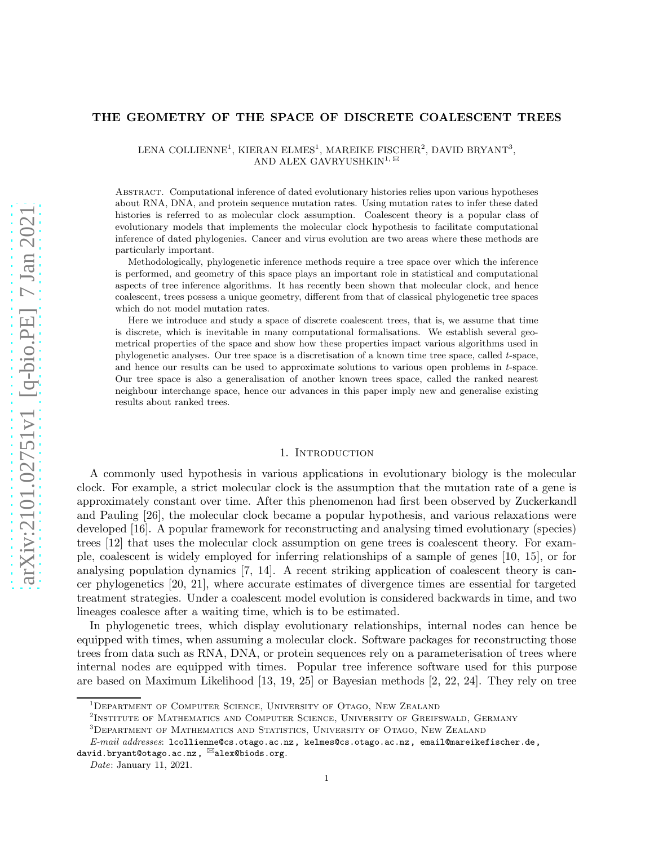# THE GEOMETRY OF THE SPACE OF DISCRETE COALESCENT TREES

LENA COLLIENNE<sup>1</sup>, KIERAN ELMES<sup>1</sup>, MAREIKE FISCHER<sup>2</sup>, DAVID BRYANT<sup>3</sup>, AND ALEX GAVRYUSHKIN<sup>1,  $\boxtimes$ </sup>

Abstract. Computational inference of dated evolutionary histories relies upon various hypotheses about RNA, DNA, and protein sequence mutation rates. Using mutation rates to infer these dated histories is referred to as molecular clock assumption. Coalescent theory is a popular class of evolutionary models that implements the molecular clock hypothesis to facilitate computational inference of dated phylogenies. Cancer and virus evolution are two areas where these methods are particularly important.

Methodologically, phylogenetic inference methods require a tree space over which the inference is performed, and geometry of this space plays an important role in statistical and computational aspects of tree inference algorithms. It has recently been shown that molecular clock, and hence coalescent, trees possess a unique geometry, different from that of classical phylogenetic tree spaces which do not model mutation rates.

Here we introduce and study a space of discrete coalescent trees, that is, we assume that time is discrete, which is inevitable in many computational formalisations. We establish several geometrical properties of the space and show how these properties impact various algorithms used in phylogenetic analyses. Our tree space is a discretisation of a known time tree space, called t-space, and hence our results can be used to approximate solutions to various open problems in t-space. Our tree space is also a generalisation of another known trees space, called the ranked nearest neighbour interchange space, hence our advances in this paper imply new and generalise existing results about ranked trees.

### 1. INTRODUCTION

A commonly used hypothesis in various applications in evolutionary biology is the molecular clock. For example, a strict molecular clock is the assumption that the mutation rate of a gene is approximately constant over time. After this phenomenon had first been observed by Zuckerkandl and Pauling [\[26\]](#page-15-0), the molecular clock became a popular hypothesis, and various relaxations were developed [\[16\]](#page-15-1). A popular framework for reconstructing and analysing timed evolutionary (species) trees [\[12](#page-15-2)] that uses the molecular clock assumption on gene trees is coalescent theory. For example, coalescent is widely employed for inferring relationships of a sample of genes [\[10,](#page-15-3) [15](#page-15-4)], or for analysing population dynamics [\[7,](#page-15-5) [14](#page-15-6)]. A recent striking application of coalescent theory is cancer phylogenetics [\[20,](#page-15-7) [21\]](#page-15-8), where accurate estimates of divergence times are essential for targeted treatment strategies. Under a coalescent model evolution is considered backwards in time, and two lineages coalesce after a waiting time, which is to be estimated.

In phylogenetic trees, which display evolutionary relationships, internal nodes can hence be equipped with times, when assuming a molecular clock. Software packages for reconstructing those trees from data such as RNA, DNA, or protein sequences rely on a parameterisation of trees where internal nodes are equipped with times. Popular tree inference software used for this purpose are based on Maximum Likelihood [\[13](#page-15-9), [19](#page-15-10), [25](#page-15-11)] or Bayesian methods [\[2,](#page-14-0) [22](#page-15-12), [24](#page-15-13)]. They rely on tree

<sup>&</sup>lt;sup>1</sup>DEPARTMENT OF COMPUTER SCIENCE, UNIVERSITY OF OTAGO, NEW ZEALAND

<sup>&</sup>lt;sup>2</sup>INSTITUTE OF MATHEMATICS AND COMPUTER SCIENCE, UNIVERSITY OF GREIFSWALD, GERMANY

<sup>3</sup>Department of Mathematics and Statistics, University of Otago, New Zealand

E-mail addresses: lcollienne@cs.otago.ac.nz, kelmes@cs.otago.ac.nz, email@mareikefischer.de, david.bryant@otago.ac.nz, alex@biods.org.

Date: January 11, 2021.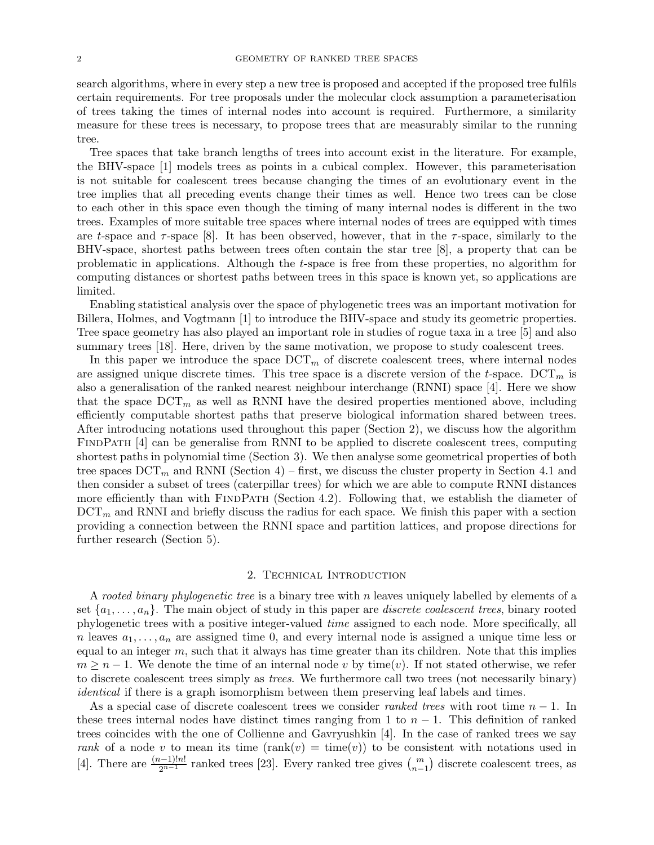search algorithms, where in every step a new tree is proposed and accepted if the proposed tree fulfils certain requirements. For tree proposals under the molecular clock assumption a parameterisation of trees taking the times of internal nodes into account is required. Furthermore, a similarity measure for these trees is necessary, to propose trees that are measurably similar to the running tree.

Tree spaces that take branch lengths of trees into account exist in the literature. For example, the BHV-space [\[1](#page-14-1)] models trees as points in a cubical complex. However, this parameterisation is not suitable for coalescent trees because changing the times of an evolutionary event in the tree implies that all preceding events change their times as well. Hence two trees can be close to each other in this space even though the timing of many internal nodes is different in the two trees. Examples of more suitable tree spaces where internal nodes of trees are equipped with times are t-space and  $\tau$ -space [\[8](#page-15-14)]. It has been observed, however, that in the  $\tau$ -space, similarly to the BHV-space, shortest paths between trees often contain the star tree [\[8](#page-15-14)], a property that can be problematic in applications. Although the t-space is free from these properties, no algorithm for computing distances or shortest paths between trees in this space is known yet, so applications are limited.

Enabling statistical analysis over the space of phylogenetic trees was an important motivation for Billera, Holmes, and Vogtmann [\[1](#page-14-1)] to introduce the BHV-space and study its geometric properties. Tree space geometry has also played an important role in studies of rogue taxa in a tree [\[5](#page-15-15)] and also summary trees [\[18\]](#page-15-16). Here, driven by the same motivation, we propose to study coalescent trees.

In this paper we introduce the space  $DCT_m$  of discrete coalescent trees, where internal nodes are assigned unique discrete times. This tree space is a discrete version of the t-space.  $DCT_m$  is also a generalisation of the ranked nearest neighbour interchange (RNNI) space [\[4\]](#page-14-2). Here we show that the space  $DCT_m$  as well as RNNI have the desired properties mentioned above, including efficiently computable shortest paths that preserve biological information shared between trees. After introducing notations used throughout this paper [\(Section 2\)](#page-1-0), we discuss how the algorithm FINDPATH [\[4](#page-14-2)] can be generalise from RNNI to be applied to discrete coalescent trees, computing shortest paths in polynomial time [\(Section 3\)](#page-3-0). We then analyse some geometrical properties of both tree spaces  $DCT_m$  and RNNI [\(Section 4\)](#page-6-0) – first, we discuss the cluster property in [Section 4.1](#page-6-1) and then consider a subset of trees (caterpillar trees) for which we are able to compute RNNI distances more efficiently than with FINDPATH [\(Section 4.2\)](#page-7-0). Following that, we establish the diameter of  $DCT_m$  and RNNI and briefly discuss the radius for each space. We finish this paper with a section providing a connection between the RNNI space and partition lattices, and propose directions for further research [\(Section 5\)](#page-13-0).

## 2. Technical Introduction

<span id="page-1-0"></span>A rooted binary phylogenetic tree is a binary tree with n leaves uniquely labelled by elements of a set  $\{a_1, \ldots, a_n\}$ . The main object of study in this paper are *discrete coalescent trees*, binary rooted phylogenetic trees with a positive integer-valued time assigned to each node. More specifically, all n leaves  $a_1, \ldots, a_n$  are assigned time 0, and every internal node is assigned a unique time less or equal to an integer  $m$ , such that it always has time greater than its children. Note that this implies  $m \geq n-1$ . We denote the time of an internal node v by time(v). If not stated otherwise, we refer to discrete coalescent trees simply as trees. We furthermore call two trees (not necessarily binary) identical if there is a graph isomorphism between them preserving leaf labels and times.

As a special case of discrete coalescent trees we consider *ranked trees* with root time  $n-1$ . In these trees internal nodes have distinct times ranging from 1 to  $n-1$ . This definition of ranked trees coincides with the one of Collienne and Gavryushkin [\[4](#page-14-2)]. In the case of ranked trees we say rank of a node v to mean its time (rank(v) = time(v)) to be consistent with notations used in [\[4](#page-14-2)]. There are  $\frac{(n-1)!n!}{2^{n-1}}$  ranked trees [\[23\]](#page-15-17). Every ranked tree gives  $\binom{m}{n-1}$  discrete coalescent trees, as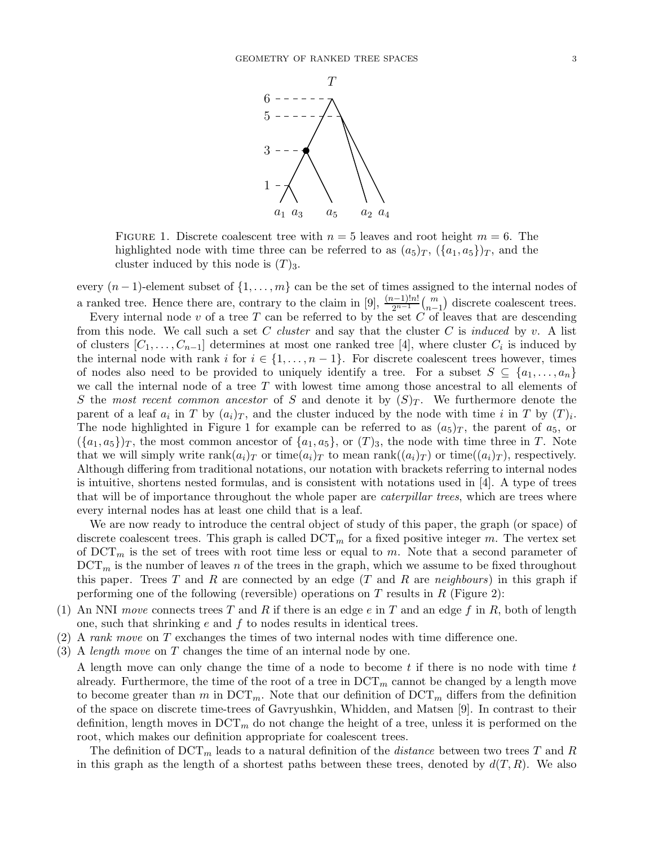<span id="page-2-0"></span>

FIGURE 1. Discrete coalescent tree with  $n = 5$  leaves and root height  $m = 6$ . The highlighted node with time three can be referred to as  $(a_5)_T$ ,  $(\{a_1, a_5\})_T$ , and the cluster induced by this node is  $(T)_3$ .

every  $(n-1)$ -element subset of  $\{1,\ldots,m\}$  can be the set of times assigned to the internal nodes of a ranked tree. Hence there are, contrary to the claim in [\[9](#page-15-18)],  $\frac{(n-1)!n!}{2^{n-1}}$  $\binom{m}{n-1}$  discrete coalescent trees.

Every internal node  $v$  of a tree  $T$  can be referred to by the set  $C$  of leaves that are descending from this node. We call such a set C cluster and say that the cluster C is induced by v. A list of clusters  $[C_1, \ldots, C_{n-1}]$  determines at most one ranked tree [\[4\]](#page-14-2), where cluster  $C_i$  is induced by the internal node with rank i for  $i \in \{1, ..., n-1\}$ . For discrete coalescent trees however, times of nodes also need to be provided to uniquely identify a tree. For a subset  $S \subseteq \{a_1, \ldots, a_n\}$ we call the internal node of a tree  $T$  with lowest time among those ancestral to all elements of S the most recent common ancestor of S and denote it by  $(S)_T$ . We furthermore denote the parent of a leaf  $a_i$  in T by  $(a_i)_T$ , and the cluster induced by the node with time i in T by  $(T)_i$ . The node highlighted in [Figure 1](#page-2-0) for example can be referred to as  $(a_5)_T$ , the parent of  $a_5$ , or  $({a_1, a_5})_T$ , the most common ancestor of  ${a_1, a_5}$ , or  $(T)_3$ , the node with time three in T. Note that we will simply write  $rank(a_i)_T$  or time $(a_i)_T$  to mean  $rank((a_i)_T)$  or time $((a_i)_T)$ , respectively. Although differing from traditional notations, our notation with brackets referring to internal nodes is intuitive, shortens nested formulas, and is consistent with notations used in [\[4](#page-14-2)]. A type of trees that will be of importance throughout the whole paper are *caterpillar trees*, which are trees where every internal nodes has at least one child that is a leaf.

We are now ready to introduce the central object of study of this paper, the graph (or space) of discrete coalescent trees. This graph is called  $DCT_m$  for a fixed positive integer m. The vertex set of  $DCT_m$  is the set of trees with root time less or equal to m. Note that a second parameter of  $DCT_m$  is the number of leaves n of the trees in the graph, which we assume to be fixed throughout this paper. Trees T and R are connected by an edge  $(T \text{ and } R \text{ are neighbours})$  in this graph if performing one of the following (reversible) operations on  $T$  results in  $R$  [\(Figure 2\)](#page-3-1):

- (1) An NNI move connects trees T and R if there is an edge e in T and an edge f in R, both of length one, such that shrinking  $e$  and  $f$  to nodes results in identical trees.
- (2) A rank move on T exchanges the times of two internal nodes with time difference one.
- (3) A *length move* on  $T$  changes the time of an internal node by one.

A length move can only change the time of a node to become  $t$  if there is no node with time  $t$ already. Furthermore, the time of the root of a tree in  $DCT_m$  cannot be changed by a length move to become greater than m in  $\mathrm{DCT}_m$ . Note that our definition of  $\mathrm{DCT}_m$  differs from the definition of the space on discrete time-trees of Gavryushkin, Whidden, and Matsen [\[9](#page-15-18)]. In contrast to their definition, length moves in  $DCT_m$  do not change the height of a tree, unless it is performed on the root, which makes our definition appropriate for coalescent trees.

The definition of  $DCT_m$  leads to a natural definition of the *distance* between two trees T and R in this graph as the length of a shortest paths between these trees, denoted by  $d(T, R)$ . We also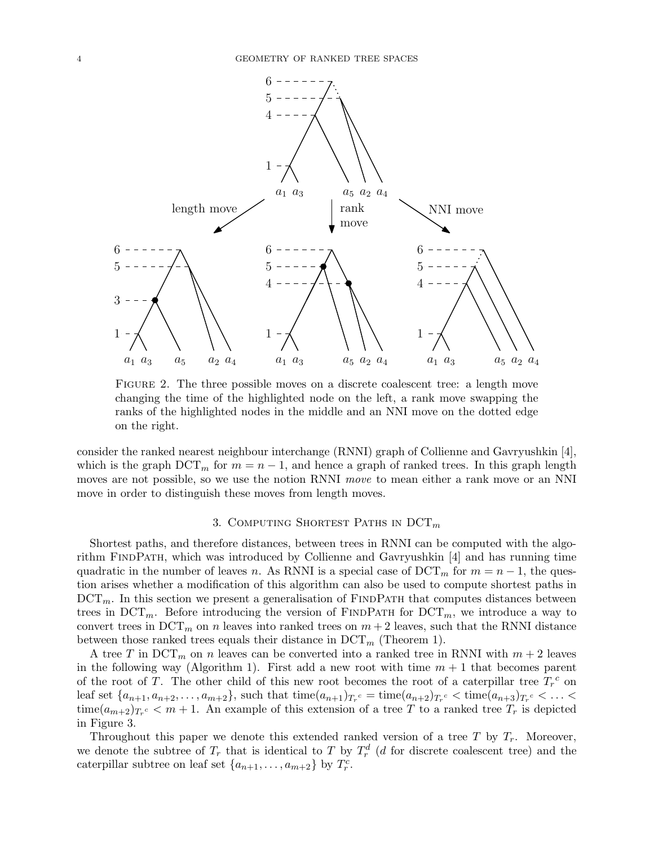<span id="page-3-1"></span>

Figure 2. The three possible moves on a discrete coalescent tree: a length move changing the time of the highlighted node on the left, a rank move swapping the ranks of the highlighted nodes in the middle and an NNI move on the dotted edge on the right.

consider the ranked nearest neighbour interchange (RNNI) graph of Collienne and Gavryushkin [\[4\]](#page-14-2), which is the graph  $DCT_m$  for  $m = n - 1$ , and hence a graph of ranked trees. In this graph length moves are not possible, so we use the notion RNNI move to mean either a rank move or an NNI move in order to distinguish these moves from length moves.

# 3. COMPUTING SHORTEST PATHS IN  $DCT_m$

<span id="page-3-0"></span>Shortest paths, and therefore distances, between trees in RNNI can be computed with the algorithm FINDPATH, which was introduced by Collienne and Gavryushkin  $[4]$  and has running time quadratic in the number of leaves n. As RNNI is a special case of  $DCT_m$  for  $m = n - 1$ , the question arises whether a modification of this algorithm can also be used to compute shortest paths in  $DCT_m$ . In this section we present a generalisation of FINDPATH that computes distances between trees in  $DCT_m$ . Before introducing the version of FINDPATH for  $DCT_m$ , we introduce a way to convert trees in  $DCT_m$  on n leaves into ranked trees on  $m+2$  leaves, such that the RNNI distance between those ranked trees equals their distance in  $DCT_m$  [\(Theorem 1\)](#page-5-0).

A tree T in  $DCT_m$  on n leaves can be converted into a ranked tree in RNNI with  $m + 2$  leaves in the following way [\(Algorithm 1\)](#page-4-0). First add a new root with time  $m + 1$  that becomes parent of the root of T. The other child of this new root becomes the root of a caterpillar tree  $T_r^c$  on leaf set  $\{a_{n+1}, a_{n+2}, \ldots, a_{m+2}\}\$ , such that  $\mathrm{time}(a_{n+1})_{T_r}$   $\subset \mathrm{time}(a_{n+2})_{T_r}$   $\subset \mathrm{time}(a_{n+3})_{T_r}$   $\subset \ldots \subset \mathrm{time}(a_{m+2})$  $time(a_{m+2})_{T_r}$   $\epsilon$   $\lt m+1$ . An example of this extension of a tree T to a ranked tree  $T_r$  is depicted in [Figure 3.](#page-4-1)

Throughout this paper we denote this extended ranked version of a tree T by  $T_r$ . Moreover, we denote the subtree of  $T_r$  that is identical to T by  $T_r^d$  (d for discrete coalescent tree) and the caterpillar subtree on leaf set  $\{a_{n+1}, \ldots, a_{m+2}\}$  by  $T_r^c$ .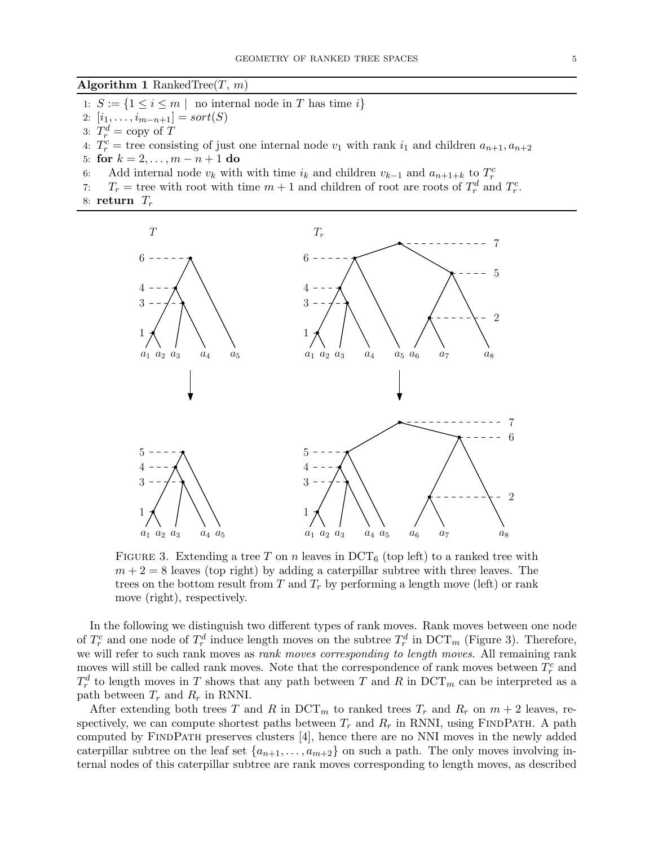<span id="page-4-0"></span>**Algorithm 1** RankedTree $(T, m)$ 

- 1:  $S := \{1 \leq i \leq m \mid \text{no internal node in } T \text{ has time } i\}$
- 2:  $[i_1, \ldots, i_{m-n+1}] = sort(S)$
- 3:  $T_r^d = \text{copy of } T$
- 4:  $T_r^c$  = tree consisting of just one internal node  $v_1$  with rank  $i_1$  and children  $a_{n+1}, a_{n+2}$
- 5: **for**  $k = 2, ..., m n + 1$  **do**<br>6: Add internal node  $v_k$  with
- 6: Add internal node  $v_k$  with with time  $i_k$  and children  $v_{k-1}$  and  $a_{n+1+k}$  to  $T_r^c$
- 7:  $T_r$  = tree with root with time  $m+1$  and children of root are roots of  $T_r^d$  and  $T_r^c$ .
- <span id="page-4-1"></span>8: return  $T_r$



FIGURE 3. Extending a tree T on n leaves in  $DCT_6$  (top left) to a ranked tree with  $m + 2 = 8$  leaves (top right) by adding a caterpillar subtree with three leaves. The trees on the bottom result from T and  $T_r$  by performing a length move (left) or rank move (right), respectively.

In the following we distinguish two different types of rank moves. Rank moves between one node of  $T_r^c$  and one node of  $T_r^d$  induce length moves on the subtree  $T_r^d$  in  $DCT_m$  [\(Figure 3\)](#page-4-1). Therefore, we will refer to such rank moves as *rank moves corresponding to length moves*. All remaining rank moves will still be called rank moves. Note that the correspondence of rank moves between  $T_r^c$  and  $T_r^d$  to length moves in T shows that any path between T and R in DCT<sub>m</sub> can be interpreted as a path between  $T_r$  and  $R_r$  in RNNI.

After extending both trees T and R in  $DCT_m$  to ranked trees  $T_r$  and  $R_r$  on  $m + 2$  leaves, respectively, we can compute shortest paths between  $T_r$  and  $R_r$  in RNNI, using FINDPATH. A path computed by FindPath preserves clusters [\[4](#page-14-2)], hence there are no NNI moves in the newly added caterpillar subtree on the leaf set  $\{a_{n+1}, \ldots, a_{m+2}\}$  on such a path. The only moves involving internal nodes of this caterpillar subtree are rank moves corresponding to length moves, as described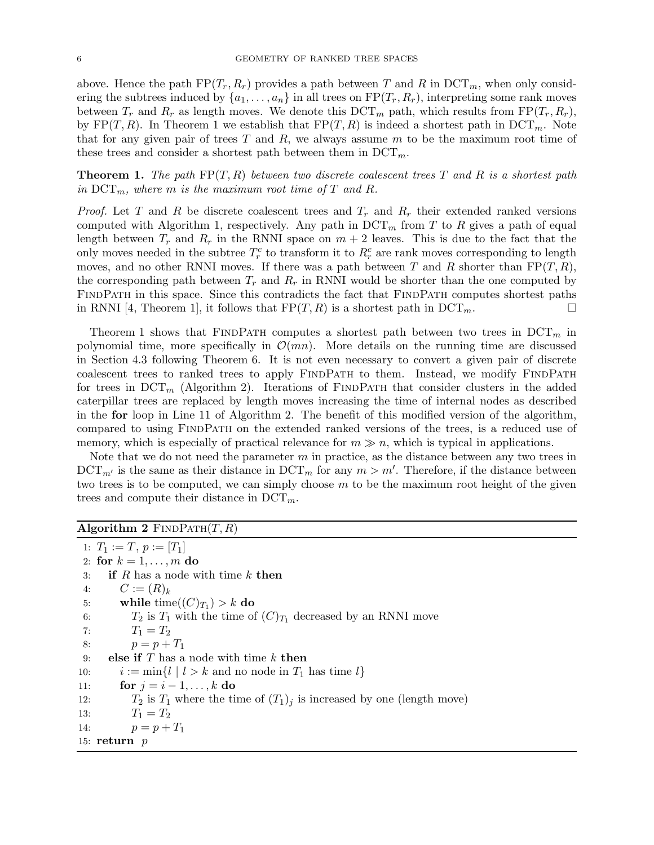above. Hence the path  $FP(T_r, R_r)$  provides a path between T and R in  $DCT_m$ , when only considering the subtrees induced by  $\{a_1, \ldots, a_n\}$  in all trees on  $\text{FP}(T_r, R_r)$ , interpreting some rank moves between  $T_r$  and  $R_r$  as length moves. We denote this  $DCT_m$  path, which results from  $FP(T_r, R_r)$ , by  $FP(T, R)$ . In [Theorem 1](#page-5-0) we establish that  $FP(T, R)$  is indeed a shortest path in  $DCT_m$ . Note that for any given pair of trees  $T$  and  $R$ , we always assume  $m$  to be the maximum root time of these trees and consider a shortest path between them in  $DCT_m$ .

<span id="page-5-0"></span>**Theorem 1.** The path  $\text{FP}(T, R)$  between two discrete coalescent trees T and R is a shortest path in  $DCT_m$ , where m is the maximum root time of T and R.

*Proof.* Let T and R be discrete coalescent trees and  $T_r$  and  $R_r$  their extended ranked versions computed with [Algorithm 1,](#page-4-0) respectively. Any path in  $DCT_m$  from T to R gives a path of equal length between  $T_r$  and  $R_r$  in the RNNI space on  $m + 2$  leaves. This is due to the fact that the only moves needed in the subtree  $T_r^c$  to transform it to  $R_r^c$  are rank moves corresponding to length moves, and no other RNNI moves. If there was a path between T and R shorter than  $\text{FP}(T, R)$ , the corresponding path between  $T_r$  and  $R_r$  in RNNI would be shorter than the one computed by FINDPATH in this space. Since this contradicts the fact that FINDPATH computes shortest paths in RNNI [\[4](#page-14-2), Theorem 1], it follows that  $\text{FP}(T, R)$  is a shortest path in  $\text{DCT}_m$ .

[Theorem 1](#page-5-0) shows that FINDPATH computes a shortest path between two trees in  $DCT_m$  in polynomial time, more specifically in  $\mathcal{O}(mn)$ . More details on the running time are discussed in [Section 4.3](#page-11-0) following [Theorem 6.](#page-11-1) It is not even necessary to convert a given pair of discrete coalescent trees to ranked trees to apply FINDPATH to them. Instead, we modify FINDPATH for trees in  $DCT_m$  [\(Algorithm 2\)](#page-5-1). Iterations of FINDPATH that consider clusters in the added caterpillar trees are replaced by length moves increasing the time of internal nodes as described in the for loop in Line [11](#page-5-2) of [Algorithm 2.](#page-5-1) The benefit of this modified version of the algorithm, compared to using FindPath on the extended ranked versions of the trees, is a reduced use of memory, which is especially of practical relevance for  $m \gg n$ , which is typical in applications.

Note that we do not need the parameter  $m$  in practice, as the distance between any two trees in  $DCT_{m'}$  is the same as their distance in  $DCT_m$  for any  $m > m'$ . Therefore, if the distance between two trees is to be computed, we can simply choose  $m$  to be the maximum root height of the given trees and compute their distance in  $DCT_m$ .

<span id="page-5-1"></span>

| Algorithm 2 $FINDPATH(T, R)$ |  |  |  |  |
|------------------------------|--|--|--|--|
|------------------------------|--|--|--|--|

<span id="page-5-2"></span>1:  $T_1 := T, p := [T_1]$ 2: for  $k = 1, \ldots, m$  do 3: if  $R$  has a node with time  $k$  then 4:  $C := (R)_k$ 5: while  $\text{time}((C)_{T_1}) > k$  do 6:  $T_2$  is  $T_1$  with the time of  $(C)_{T_1}$  decreased by an RNNI move 7:  $T_1 = T_2$ 8:  $p = p + T_1$ 9: **else if**  $T$  has a node with time  $k$  **then** 10:  $i := \min\{l \mid l > k \text{ and no node in } T_1 \text{ has time } l\}$ <br>11: **for**  $j = i - 1, ..., k$  **do** 11: **for**  $j = i - 1, ..., k$  **do**<br>12:  $T_2$  is  $T_1$  where the ti  $T_2$  is  $T_1$  where the time of  $(T_1)_j$  is increased by one (length move) 13:  $T_1 = T_2$ 14:  $p = p + T_1$ 15:  $return p$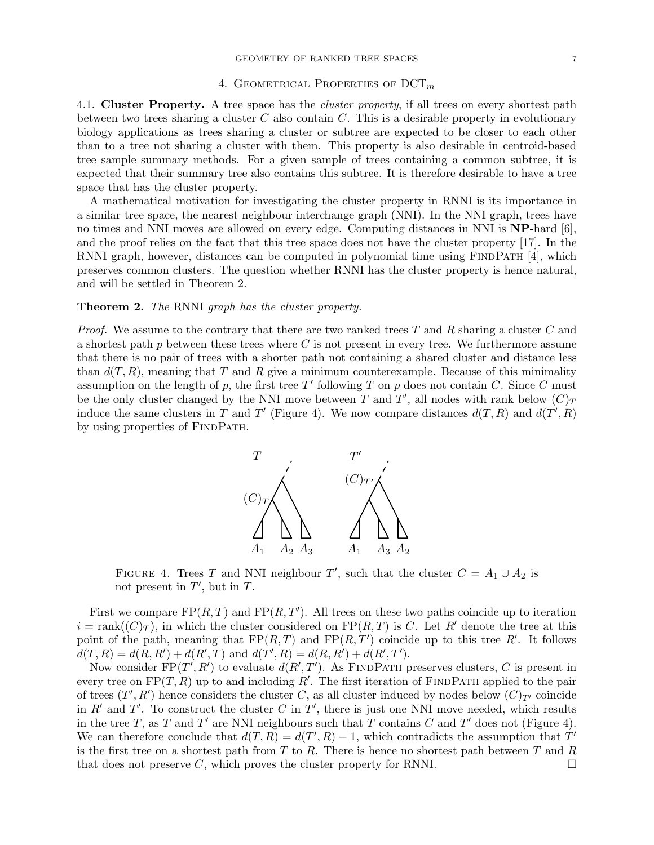### 4. GEOMETRICAL PROPERTIES OF  $DCT_m$

<span id="page-6-1"></span><span id="page-6-0"></span>4.1. Cluster Property. A tree space has the *cluster property*, if all trees on every shortest path between two trees sharing a cluster  $C$  also contain  $C$ . This is a desirable property in evolutionary biology applications as trees sharing a cluster or subtree are expected to be closer to each other than to a tree not sharing a cluster with them. This property is also desirable in centroid-based tree sample summary methods. For a given sample of trees containing a common subtree, it is expected that their summary tree also contains this subtree. It is therefore desirable to have a tree space that has the cluster property.

A mathematical motivation for investigating the cluster property in RNNI is its importance in a similar tree space, the nearest neighbour interchange graph (NNI). In the NNI graph, trees have no times and NNI moves are allowed on every edge. Computing distances in NNI is NP-hard [\[6\]](#page-15-19), and the proof relies on the fact that this tree space does not have the cluster property [\[17](#page-15-20)]. In the RNNI graph, however, distances can be computed in polynomial time using FINDPATH [\[4](#page-14-2)], which preserves common clusters. The question whether RNNI has the cluster property is hence natural, and will be settled in [Theorem 2.](#page-6-2)

### <span id="page-6-2"></span>Theorem 2. The RNNI graph has the cluster property.

<span id="page-6-3"></span>*Proof.* We assume to the contrary that there are two ranked trees T and R sharing a cluster C and a shortest path  $p$  between these trees where  $C$  is not present in every tree. We furthermore assume that there is no pair of trees with a shorter path not containing a shared cluster and distance less than  $d(T, R)$ , meaning that T and R give a minimum counterexample. Because of this minimality assumption on the length of p, the first tree T' following T on p does not contain C. Since C must be the only cluster changed by the NNI move between T and T', all nodes with rank below  $(C)_T$ induce the same clusters in T and T' [\(Figure 4\)](#page-6-3). We now compare distances  $d(T, R)$  and  $d(T', R)$ by using properties of FINDPATH.



FIGURE 4. Trees T and NNI neighbour T', such that the cluster  $C = A_1 \cup A_2$  is not present in  $T'$ , but in  $T$ .

First we compare  $FP(R, T)$  and  $FP(R, T')$ . All trees on these two paths coincide up to iteration  $i = \text{rank}((C)_T)$ , in which the cluster considered on  $\text{FP}(R, T)$  is C. Let R' denote the tree at this point of the path, meaning that  $FP(R, T)$  and  $FP(R, T')$  coincide up to this tree R'. It follows  $d(T, R) = d(R, R') + d(R', T)$  and  $d(T', R) = d(R, R') + d(R', T')$ .

Now consider  $\text{FP}(T', R')$  to evaluate  $d(R', T')$ . As FINDPATH preserves clusters, C is present in every tree on  $\text{FP}(T, R)$  up to and including R'. The first iteration of FINDPATH applied to the pair of trees  $(T', R')$  hence considers the cluster C, as all cluster induced by nodes below  $(C)_{T'}$  coincide in R' and T'. To construct the cluster C in T', there is just one NNI move needed, which results in the tree T, as T and T' are NNI neighbours such that T contains C and T' does not [\(Figure 4\)](#page-6-3). We can therefore conclude that  $d(T, R) = d(T', R) - 1$ , which contradicts the assumption that  $T'$ is the first tree on a shortest path from  $T$  to  $R$ . There is hence no shortest path between  $T$  and  $R$ that does not preserve C, which proves the cluster property for RNNI.  $\Box$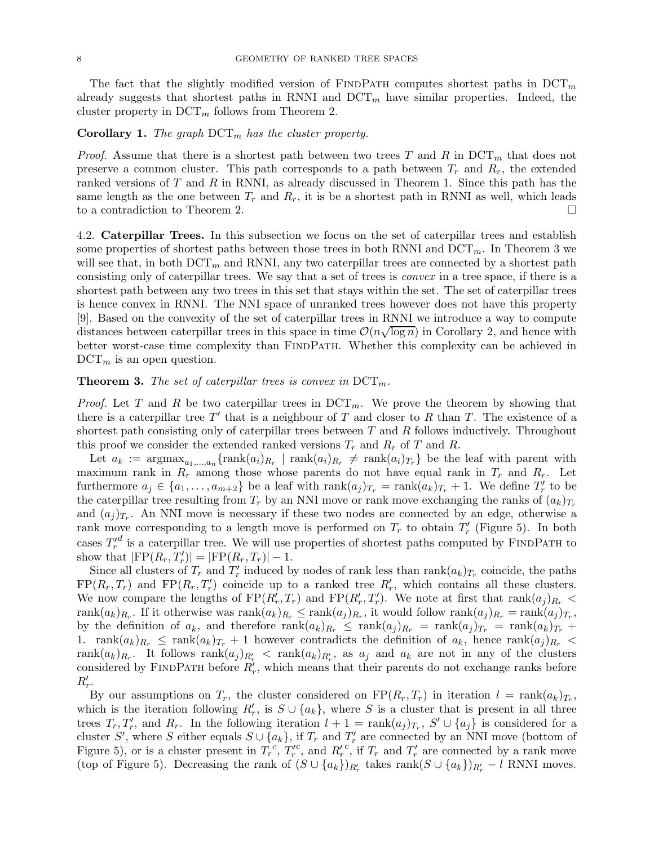The fact that the slightly modified version of FINDPATH computes shortest paths in  $DCT_m$ already suggests that shortest paths in RNNI and  $DCT_m$  have similar properties. Indeed, the cluster property in  $DCT_m$  follows from [Theorem 2.](#page-6-2)

## **Corollary 1.** The graph  $DCT_m$  has the cluster property.

*Proof.* Assume that there is a shortest path between two trees T and R in  $DCT_m$  that does not preserve a common cluster. This path corresponds to a path between  $T_r$  and  $R_r$ , the extended ranked versions of  $T$  and  $R$  in RNNI, as already discussed in [Theorem 1.](#page-5-0) Since this path has the same length as the one between  $T_r$  and  $R_r$ , it is be a shortest path in RNNI as well, which leads to a contradiction to [Theorem 2.](#page-6-2)

<span id="page-7-0"></span>4.2. Caterpillar Trees. In this subsection we focus on the set of caterpillar trees and establish some properties of shortest paths between those trees in both RNNI and  $DCT_m$ . In [Theorem 3](#page-7-1) we will see that, in both  $DCT_m$  and RNNI, any two caterpillar trees are connected by a shortest path consisting only of caterpillar trees. We say that a set of trees is convex in a tree space, if there is a shortest path between any two trees in this set that stays within the set. The set of caterpillar trees is hence convex in RNNI. The NNI space of unranked trees however does not have this property [\[9](#page-15-18)]. Based on the convexity of the set of caterpillar trees in RNNI we introduce a way to compute distances between caterpillar trees in this space in time  $\mathcal{O}(n\sqrt{\log n})$  in [Corollary 2,](#page-11-2) and hence with better worst-case time complexity than FindPath. Whether this complexity can be achieved in  $DCT_m$  is an open question.

# <span id="page-7-1"></span>**Theorem 3.** The set of caterpillar trees is convex in  $DCT_m$ .

*Proof.* Let T and R be two caterpillar trees in  $DCT_m$ . We prove the theorem by showing that there is a caterpillar tree  $T'$  that is a neighbour of T and closer to R than T. The existence of a shortest path consisting only of caterpillar trees between  $T$  and  $R$  follows inductively. Throughout this proof we consider the extended ranked versions  $T_r$  and  $R_r$  of T and R.

Let  $a_k := \text{argmax}_{a_1,\dots,a_n} \{\text{rank}(a_i)_{R_r} \mid \text{rank}(a_i)_{R_r} \neq \text{rank}(a_i)_{T_r}\}\$  be the leaf with parent with maximum rank in  $R_r$  among those whose parents do not have equal rank in  $T_r$  and  $R_r$ . Let furthermore  $a_j \in \{a_1, \ldots, a_{m+2}\}\$ be a leaf with  $\operatorname{rank}(a_j)_{T_r} = \operatorname{rank}(a_k)_{T_r} + 1$ . We define  $T'_r$  $r'$  to be the caterpillar tree resulting from  $T_r$  by an NNI move or rank move exchanging the ranks of  $(a_k)_{T_r}$ and  $(a_j)_{T_r}$ . An NNI move is necessary if these two nodes are connected by an edge, otherwise a rank move corresponding to a length move is performed on  $T_r$  to obtain  $T'_r$  $r'$  [\(Figure 5\)](#page-8-0). In both cases  $T'_r$  $\gamma_t^d$  is a caterpillar tree. We will use properties of shortest paths computed by FINDPATH to show that  $|FP(R_r, T'_r)| = |FP(R_r, T_r)| - 1.$ 

Since all clusters of  $T_r$  and  $T'_r$ " induced by nodes of rank less than  $\text{rank}(a_k)_{T_r}$  coincide, the paths  $FP(R_r, T_r)$  and  $FP(R_r, T'_r)$  coincide up to a ranked tree  $R'_r$ , which contains all these clusters. We now compare the lengths of  $FP(R'_r, T_r)$  and  $FP(R'_r, T'_r)$ . We note at first that rank $(a_j)_{R_r}$  <  $rank(a_k)_{R_r}$ . If it otherwise was  $rank(a_k)_{R_r} \leq rank(a_j)_{R_r}$ , it would follow  $rank(a_j)_{R_r} = rank(a_j)_{T_r}$ , by the definition of  $a_k$ , and therefore  $\text{rank}(a_k)_{R_r} \leq \text{rank}(a_j)_{R_r} = \text{rank}(a_j)_{T_r} = \text{rank}(a_k)_{T_r} +$ 1. rank $(a_k)_{R_r} \leq \text{rank}(a_k)_{T_r} + 1$  however contradicts the definition of  $a_k$ , hence  $\text{rank}(a_i)_{R_r}$  $rank(a_k)_{R_r}$ . It follows  $rank(a_j)_{R'_r}$   $\lt$   $rank(a_k)_{R'_r}$ , as  $a_j$  and  $a_k$  are not in any of the clusters considered by FINDPATH before  $R'_r$ , which means that their parents do not exchange ranks before  $R'_r$ .

By our assumptions on  $T_r$ , the cluster considered on  $\text{FP}(R_r, T_r)$  in iteration  $l = \text{rank}(a_k)_{T_r}$ , which is the iteration following  $R'_r$ , is  $S \cup \{a_k\}$ , where S is a cluster that is present in all three trees  $T_r$ ,  $T'_r$ , and  $R_r$ . In the following iteration  $l + 1 = \text{rank}(a_j)_{T_r}$ ,  $S' \cup \{a_j\}$  is considered for a cluster S', where S either equals  $S \cup \{a_k\}$ , if  $T_r$  and  $T'_r$  $r'$  are connected by an NNI move (bottom of [Figure 5\)](#page-8-0), or is a cluster present in  $T_r^c, T'_r$ r <sup>c</sup>, and  $R'_r$ <sup>c</sup>, if  $T_r$  and  $T'_r$  $r'$  are connected by a rank move (top of [Figure 5\)](#page-8-0). Decreasing the rank of  $(S \cup \{a_k\})_{R'_r}$  takes  $\text{rank}(S \cup \{a_k\})_{R'_r} - l$  RNNI moves.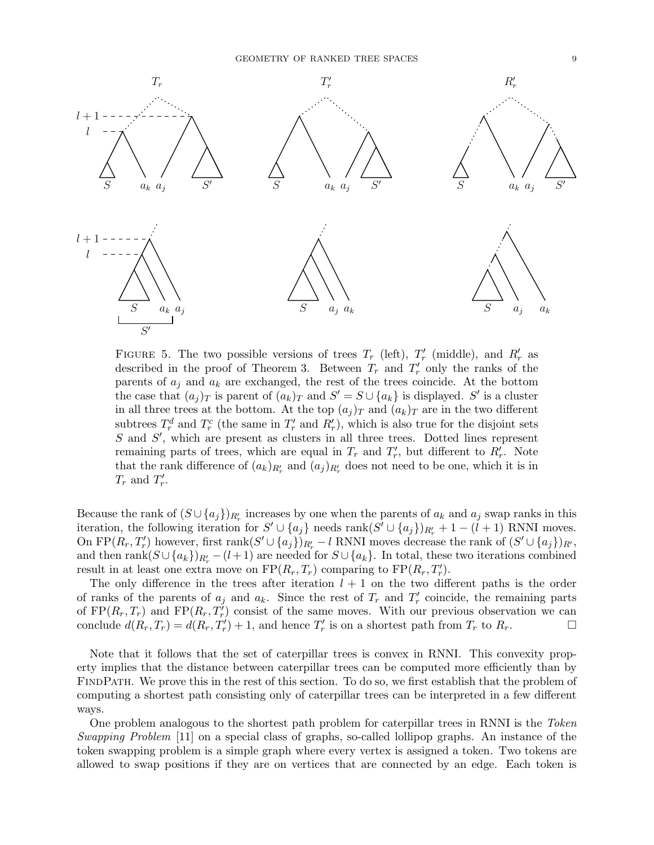<span id="page-8-0"></span>

FIGURE 5. The two possible versions of trees  $T_r$  (left),  $T'_r$  $r'$  (middle), and  $R'_r$  as described in the proof of [Theorem 3.](#page-7-1) Between  $T_r$  and  $T'_r$  $r'$  only the ranks of the parents of  $a_j$  and  $a_k$  are exchanged, the rest of the trees coincide. At the bottom the case that  $(a_j)_T$  is parent of  $(a_k)_T$  and  $S' = S \cup \{a_k\}$  is displayed. S' is a cluster in all three trees at the bottom. At the top  $(a_j)_T$  and  $(a_k)_T$  are in the two different subtrees  $T_r^d$  and  $T_r^c$  (the same in  $T_r'$  and  $R_r'$ ), which is also true for the disjoint sets  $S$  and  $S'$ , which are present as clusters in all three trees. Dotted lines represent remaining parts of trees, which are equal in  $T_r$  and  $T'_r$  $r'$ , but different to  $R'_r$ . Note that the rank difference of  $(a_k)_{R'_r}$  and  $(a_j)_{R'_r}$  does not need to be one, which it is in  $T_r$  and  $T'_r$ r .

Because the rank of  $(S \cup \{a_j\})_{R'_r}$  increases by one when the parents of  $a_k$  and  $a_j$  swap ranks in this iteration, the following iteration for  $S' \cup \{a_j\}$  needs rank $(S' \cup \{a_j\})_{R'_r} + 1 - (l + 1)$  RNNI moves. On FP $(R_r, T'_r)$  however, first rank $(S' \cup \{a_j\})_{R'_r} - l$  RNNI moves decrease the rank of  $(S' \cup \{a_j\})_{R'}$ , and then  $\text{rank}(S \cup \{a_k\})_{R'_r} - (l+1)$  are needed for  $S \cup \{a_k\}$ . In total, these two iterations combined result in at least one extra move on  $FP(R_r, T_r)$  comparing to  $FP(R_r, T'_r)$ .

The only difference in the trees after iteration  $l + 1$  on the two different paths is the order of ranks of the parents of  $a_j$  and  $a_k$ . Since the rest of  $T_r$  and  $T'_r$  $r r$  coincide, the remaining parts of  $FP(R_r, T_r)$  and  $FP(R_r, T'_r)$  consist of the same moves. With our previous observation we can conclude  $d(R_r, T_r) = d(R_r, T'_r) + 1$ , and hence  $T'_r$  $r'$  is on a shortest path from  $T_r$  to  $R_r$ .

Note that it follows that the set of caterpillar trees is convex in RNNI. This convexity property implies that the distance between caterpillar trees can be computed more efficiently than by FindPath. We prove this in the rest of this section. To do so, we first establish that the problem of computing a shortest path consisting only of caterpillar trees can be interpreted in a few different ways.

One problem analogous to the shortest path problem for caterpillar trees in RNNI is the Token Swapping Problem [\[11\]](#page-15-21) on a special class of graphs, so-called lollipop graphs. An instance of the token swapping problem is a simple graph where every vertex is assigned a token. Two tokens are allowed to swap positions if they are on vertices that are connected by an edge. Each token is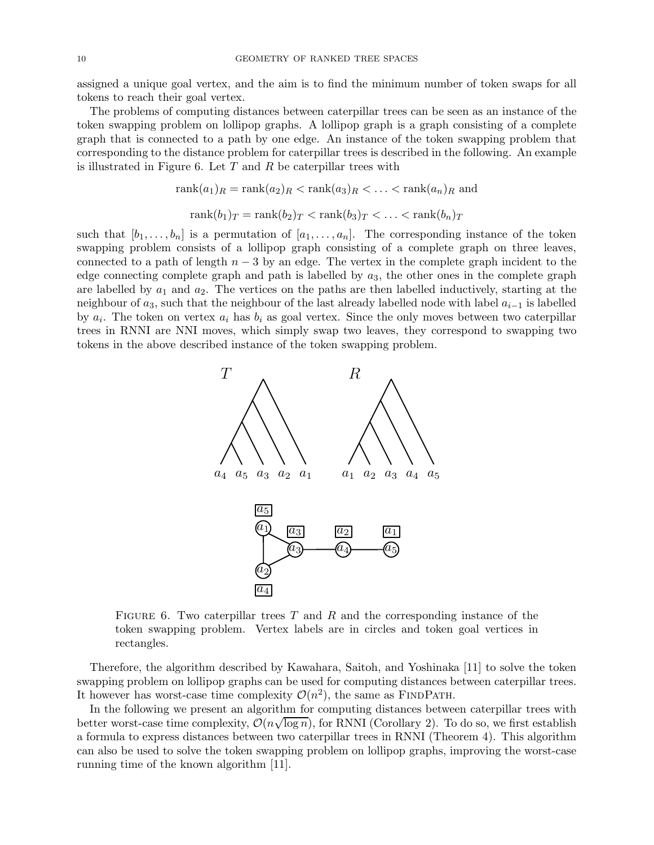assigned a unique goal vertex, and the aim is to find the minimum number of token swaps for all tokens to reach their goal vertex.

The problems of computing distances between caterpillar trees can be seen as an instance of the token swapping problem on lollipop graphs. A lollipop graph is a graph consisting of a complete graph that is connected to a path by one edge. An instance of the token swapping problem that corresponding to the distance problem for caterpillar trees is described in the following. An example is illustrated in [Figure 6.](#page-9-0) Let  $T$  and  $R$  be caterpillar trees with

$$
rank(a_1)_R = rank(a_2)_R < rank(a_3)_R < \ldots < rank(a_n)_R
$$
 and
$$
rank(b_1)_T = rank(b_2)_T < rank(b_3)_T < \ldots < rank(b_n)_T
$$

<span id="page-9-0"></span>such that  $[b_1, \ldots, b_n]$  is a permutation of  $[a_1, \ldots, a_n]$ . The corresponding instance of the token swapping problem consists of a lollipop graph consisting of a complete graph on three leaves, connected to a path of length  $n-3$  by an edge. The vertex in the complete graph incident to the edge connecting complete graph and path is labelled by  $a_3$ , the other ones in the complete graph are labelled by  $a_1$  and  $a_2$ . The vertices on the paths are then labelled inductively, starting at the neighbour of  $a_3$ , such that the neighbour of the last already labelled node with label  $a_{i-1}$  is labelled by  $a_i$ . The token on vertex  $a_i$  has  $b_i$  as goal vertex. Since the only moves between two caterpillar trees in RNNI are NNI moves, which simply swap two leaves, they correspond to swapping two tokens in the above described instance of the token swapping problem.



FIGURE 6. Two caterpillar trees T and R and the corresponding instance of the token swapping problem. Vertex labels are in circles and token goal vertices in rectangles.

Therefore, the algorithm described by Kawahara, Saitoh, and Yoshinaka [\[11\]](#page-15-21) to solve the token swapping problem on lollipop graphs can be used for computing distances between caterpillar trees. It however has worst-case time complexity  $\mathcal{O}(n^2)$ , the same as FINDPATH.

In the following we present an algorithm for computing distances between caterpillar trees with better worst-case time complexity,  $\mathcal{O}(n\sqrt{\log n})$ , for RNNI [\(Corollary 2\)](#page-11-2). To do so, we first establish a formula to express distances between two caterpillar trees in RNNI [\(Theorem 4\)](#page-10-0). This algorithm can also be used to solve the token swapping problem on lollipop graphs, improving the worst-case running time of the known algorithm [\[11\]](#page-15-21).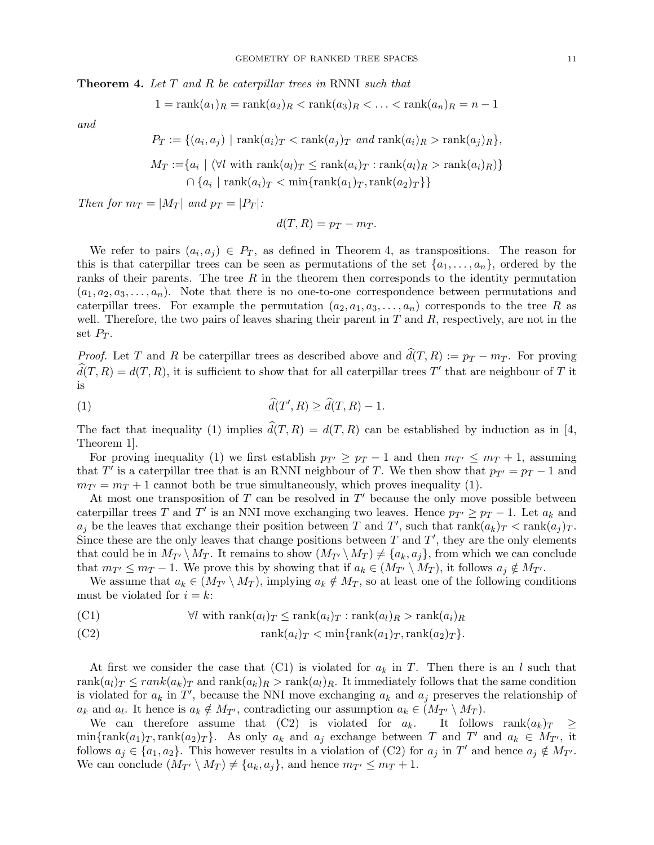<span id="page-10-0"></span>**Theorem 4.** Let  $T$  and  $R$  be caterpillar trees in RNNI such that

$$
1 = \operatorname{rank}(a_1)_R = \operatorname{rank}(a_2)_R < \operatorname{rank}(a_3)_R < \ldots < \operatorname{rank}(a_n)_R = n - 1
$$

and

$$
P_T := \{(a_i, a_j) \mid \text{rank}(a_i)_T < \text{rank}(a_j)_T \text{ and } \text{rank}(a_i)_R > \text{rank}(a_j)_R\},
$$
\n
$$
M_T := \{a_i \mid (\forall l \text{ with } \text{rank}(a_l)_T \le \text{rank}(a_i)_T : \text{rank}(a_l)_R > \text{rank}(a_i)_R\} \cap \{a_i \mid \text{rank}(a_i)_T < \min\{\text{rank}(a_1)_T, \text{rank}(a_2)_T\}\}
$$

Then for  $m_T = |M_T|$  and  $p_T = |P_T|$ :

$$
d(T, R) = p_T - m_T.
$$

We refer to pairs  $(a_i, a_j) \in P_T$ , as defined in [Theorem 4,](#page-10-0) as transpositions. The reason for this is that caterpillar trees can be seen as permutations of the set  $\{a_1, \ldots, a_n\}$ , ordered by the ranks of their parents. The tree  $R$  in the theorem then corresponds to the identity permutation  $(a_1, a_2, a_3, \ldots, a_n)$ . Note that there is no one-to-one correspondence between permutations and caterpillar trees. For example the permutation  $(a_2, a_1, a_3, \ldots, a_n)$  corresponds to the tree R as well. Therefore, the two pairs of leaves sharing their parent in  $T$  and  $R$ , respectively, are not in the set  $P_T$ .

*Proof.* Let T and R be caterpillar trees as described above and  $\hat{d}(T, R) := p_T - m_T$ . For proving  $\widehat{d}(T, R) = d(T, R)$ , it is sufficient to show that for all caterpillar trees T' that are neighbour of T it is

(1) 
$$
\widehat{d}(T',R) \geq \widehat{d}(T,R) - 1.
$$

The fact that inequality [\(1\)](#page-10-1) implies  $\hat{d}(T, R) = d(T, R)$  can be established by induction as in [\[4](#page-14-2), Theorem 1].

For proving inequality [\(1\)](#page-10-1) we first establish  $p_{T'} \geq p_T - 1$  and then  $m_{T'} \leq m_T + 1$ , assuming that T' is a caterpillar tree that is an RNNI neighbour of T. We then show that  $p_{T'} = p_T - 1$  and  $m_{T'} = m_T + 1$  cannot both be true simultaneously, which proves inequality [\(1\)](#page-10-1).

At most one transposition of  $T$  can be resolved in  $T'$  because the only move possible between caterpillar trees T and T' is an NNI move exchanging two leaves. Hence  $p_{T'} \geq p_T - 1$ . Let  $a_k$  and  $a_j$  be the leaves that exchange their position between T and T', such that  $rank(a_k)_T < rank(a_j)_T$ . Since these are the only leaves that change positions between  $T$  and  $T'$ , they are the only elements that could be in  $M_{T'} \setminus M_T$ . It remains to show  $(M_{T'} \setminus M_T) \neq \{a_k, a_j\}$ , from which we can conclude that  $m_{T'} \leq m_T - 1$ . We prove this by showing that if  $a_k \in (M_{T'} \setminus M_T)$ , it follows  $a_j \notin M_{T'}$ .

We assume that  $a_k \in (M_{T'} \setminus M_T)$ , implying  $a_k \notin M_T$ , so at least one of the following conditions must be violated for  $i = k$ :

<span id="page-10-1"></span>(C1) 
$$
\forall l \text{ with } \text{rank}(a_l)_T \leq \text{rank}(a_i)_T : \text{rank}(a_l)_R > \text{rank}(a_i)_R
$$

<span id="page-10-2"></span>
$$
(C2) \t\t rank(a_i)_T < min\{\text{rank}(a_1)_T, \text{rank}(a_2)_T\}.
$$

At first we consider the case that  $(Cl)$  is violated for  $a_k$  in T. Then there is an l such that rank $(a_l)_T \leq rank(a_k)_T$  and rank $(a_k)_R > rank(a_l)_R$ . It immediately follows that the same condition is violated for  $a_k$  in T', because the NNI move exchanging  $a_k$  and  $a_j$  preserves the relationship of  $a_k$  and  $a_l$ . It hence is  $a_k \notin M_{T'}$ , contradicting our assumption  $a_k \in (M_{T'} \setminus M_T)$ .

We can therefore assume that [\(C2\)](#page-10-2) is violated for  $a_k$ . It follows  $rank(a_k)_T \geq$  $\min{\{\text{rank}(a_1)_T, \text{rank}(a_2)_T\}}$ . As only  $a_k$  and  $a_j$  exchange between T and  $T'$  and  $a_k \in M_{T'}$ , it follows  $a_j \in \{a_1, a_2\}$ . This however results in a violation of [\(C2\)](#page-10-2) for  $a_j$  in T' and hence  $a_j \notin M_{T'}$ . We can conclude  $(M_{T'} \setminus M_T) \neq \{a_k, a_j\}$ , and hence  $m_{T'} \leq m_T + 1$ .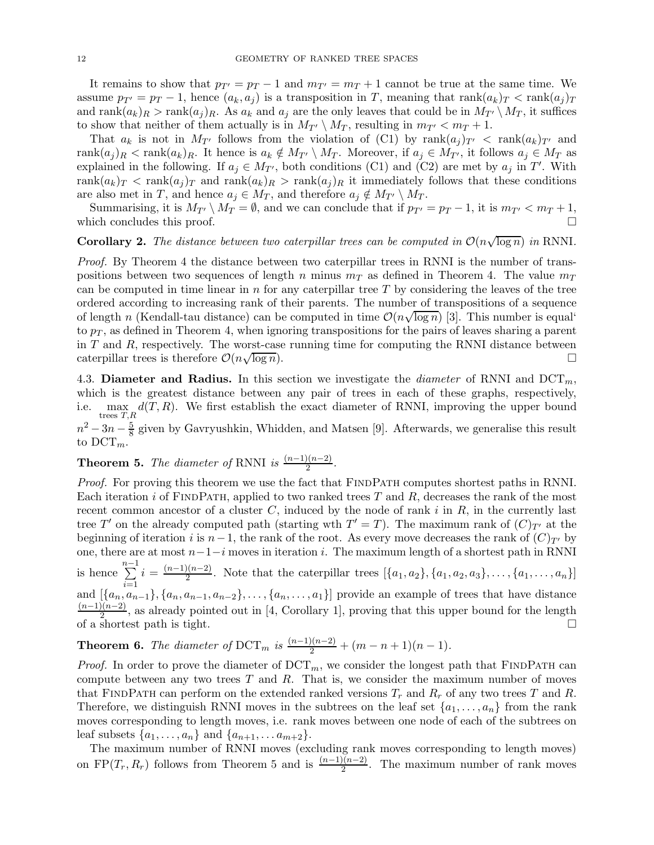It remains to show that  $p_{T'} = p_T - 1$  and  $m_{T'} = m_T + 1$  cannot be true at the same time. We assume  $p_{T'} = p_T - 1$ , hence  $(a_k, a_j)$  is a transposition in T, meaning that rank $(a_k)_T < \text{rank}(a_j)_T$ and  $\operatorname{rank}(a_k)_R > \operatorname{rank}(a_j)_R$ . As  $a_k$  and  $a_j$  are the only leaves that could be in  $M_{T'} \setminus M_T$ , it suffices to show that neither of them actually is in  $M_{T'} \setminus M_T$ , resulting in  $m_{T'} < m_T + 1$ .

That  $a_k$  is not in  $M_{T'}$  follows from the violation of [\(C1\)](#page-10-1) by rank $(a_i)_{T'}$  < rank $(a_k)_{T'}$  and rank $(a_i)_R <$ rank $(a_k)_R$ . It hence is  $a_k \notin M_{T'} \setminus M_T$ . Moreover, if  $a_j \in M_{T'}$ , it follows  $a_j \in M_T$  as explained in the following. If  $a_j \in M_{T'}$ , both conditions [\(C1\)](#page-10-1) and [\(C2\)](#page-10-2) are met by  $a_j$  in T'. With rank $(a_k)_T$  < rank $(a_j)_T$  and rank $(a_k)_R$  > rank $(a_j)_R$  it immediately follows that these conditions are also met in T, and hence  $a_j \in M_T$ , and therefore  $a_j \notin M_{T'} \setminus M_T$ .

Summarising, it is  $M_{T'} \setminus M_T = \emptyset$ , and we can conclude that if  $p_{T'} = p_T - 1$ , it is  $m_{T'} < m_T + 1$ , it concludes this proof. which concludes this proof.

# <span id="page-11-2"></span>**Corollary 2.** The distance between two caterpillar trees can be computed in  $O(n\sqrt{\log n})$  in RNNI.

Proof. By [Theorem 4](#page-10-0) the distance between two caterpillar trees in RNNI is the number of transpositions between two sequences of length n minus  $m<sub>T</sub>$  as defined in [Theorem 4.](#page-10-0) The value  $m<sub>T</sub>$ can be computed in time linear in n for any caterpillar tree  $T$  by considering the leaves of the tree ordered according to increasing rank of their parents. The number of transpositions of a sequence of length n (Kendall-tau distance) can be computed in time  $\mathcal{O}(n\sqrt{\log n})$  [\[3](#page-14-3)]. This number is equal' to  $p_T$ , as defined in [Theorem 4,](#page-10-0) when ignoring transpositions for the pairs of leaves sharing a parent in  $T$  and  $R$ , respectively. The worst-case running time for computing the RNNI distance between caterpillar trees is therefore  $\mathcal{O}(n\sqrt{2})$  $\overline{\log n}$ ).

<span id="page-11-0"></span>4.3. Diameter and Radius. In this section we investigate the *diameter* of RNNI and  $DCT_m$ , which is the greatest distance between any pair of trees in each of these graphs, respectively, i.e.  $\max_{\text{trees }T,R} d(T,R)$ . We first establish the exact diameter of RNNI, improving the upper bound  $n^2 - 3n - \frac{5}{8}$  given by Gavryushkin, Whidden, and Matsen [\[9](#page-15-18)]. Afterwards, we generalise this result to  $DCT_m$ .

# <span id="page-11-3"></span>**Theorem 5.** The diameter of RNNI is  $\frac{(n-1)(n-2)}{2}$ .

Proof. For proving this theorem we use the fact that FINDPATH computes shortest paths in RNNI. Each iteration i of FINDPATH, applied to two ranked trees  $T$  and  $R$ , decreases the rank of the most recent common ancestor of a cluster  $C$ , induced by the node of rank  $i$  in  $R$ , in the currently last tree T' on the already computed path (starting wth  $T' = T$ ). The maximum rank of  $(C)_{T'}$  at the beginning of iteration i is  $n-1$ , the rank of the root. As every move decreases the rank of  $(C)_{T'}$  by one, there are at most  $n-1-i$  moves in iteration i. The maximum length of a shortest path in RNNI is hence  $\sum_{n=1}^{n-1}$  $i=1$  $i = \frac{(n-1)(n-2)}{2}$  $\{a_1, a_2, a_3\}, \ldots, \{a_1, \ldots, a_n\}$ and  $[\{a_n, a_{n-1}\}, \{a_n, a_{n-1}, a_{n-2}\}, \ldots, \{a_n, \ldots, a_1\}]$  provide an example of trees that have distance  $(n-1)(n-2)$  as already pointed out in [4. Corollary 1], proving that this upper bound for the langth  $\frac{2(n-2)}{2}$ , as already pointed out in [\[4](#page-14-2), Corollary 1], proving that this upper bound for the length of a shortest path is tight.  $\square$ 

<span id="page-11-1"></span>**Theorem 6.** The diameter of  $DCT_m$  is  $\frac{(n-1)(n-2)}{2} + (m-n+1)(n-1)$ .

*Proof.* In order to prove the diameter of  $DCT_m$ , we consider the longest path that FINDPATH can compute between any two trees  $T$  and  $R$ . That is, we consider the maximum number of moves that FINDPATH can perform on the extended ranked versions  $T_r$  and  $R_r$  of any two trees T and R. Therefore, we distinguish RNNI moves in the subtrees on the leaf set  $\{a_1, \ldots, a_n\}$  from the rank moves corresponding to length moves, i.e. rank moves between one node of each of the subtrees on leaf subsets  $\{a_1, ..., a_n\}$  and  $\{a_{n+1}, ..., a_{m+2}\}.$ 

The maximum number of RNNI moves (excluding rank moves corresponding to length moves) on FP( $T_r, R_r$ ) follows from [Theorem 5](#page-11-3) and is  $\frac{(n-1)(n-2)}{2}$ . The maximum number of rank moves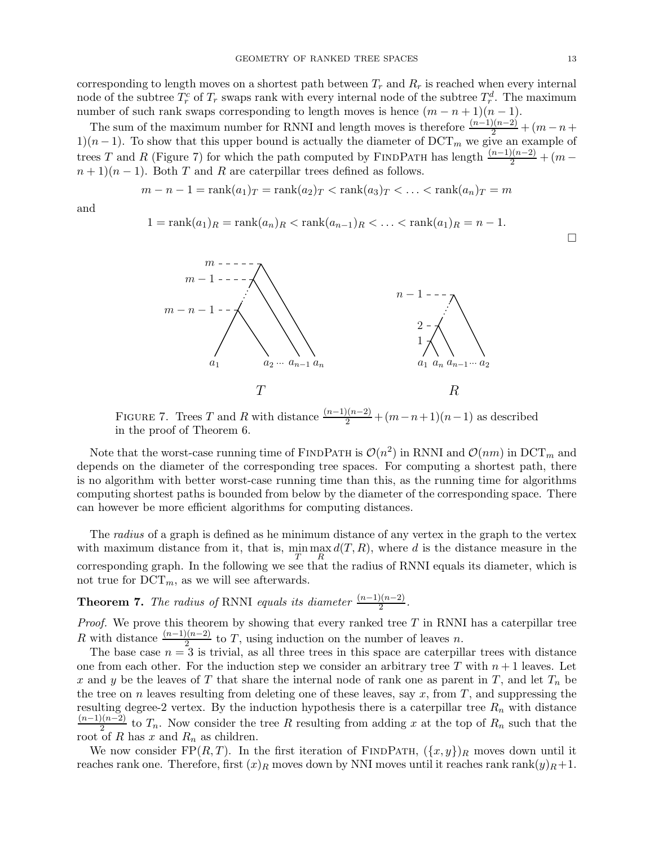$\Box$ 

corresponding to length moves on a shortest path between  $T_r$  and  $R_r$  is reached when every internal node of the subtree  $T_r^c$  of  $T_r$  swaps rank with every internal node of the subtree  $T_r^d$ . The maximum number of such rank swaps corresponding to length moves is hence  $(m - n + 1)(n - 1)$ .

The sum of the maximum number for RNNI and length moves is therefore  $\frac{(n-1)(n-2)}{2} + (m-n+1)$ 1)(n − 1). To show that this upper bound is actually the diameter of DCT<sub>m</sub> we give an example of trees T and R [\(Figure 7\)](#page-12-0) for which the path computed by FINDPATH has length  $\frac{(n-1)(n-2)}{2} + (m-1)$  $n+1(n-1)$ . Both T and R are caterpillar trees defined as follows.

$$
m-n-1 = \operatorname{rank}(a_1)_T = \operatorname{rank}(a_2)_T < \operatorname{rank}(a_3)_T < \ldots < \operatorname{rank}(a_n)_T = m
$$

<span id="page-12-0"></span>and

$$
1 = \text{rank}(a_1)_R = \text{rank}(a_n)_R < \text{rank}(a_{n-1})_R < \ldots < \text{rank}(a_1)_R = n - 1.
$$



FIGURE 7. Trees T and R with distance  $\frac{(n-1)(n-2)}{2} + (m-n+1)(n-1)$  as described in the proof of [Theorem 6.](#page-11-1)

Note that the worst-case running time of FINDPATH is  $\mathcal{O}(n^2)$  in RNNI and  $\mathcal{O}(nm)$  in DCT<sub>m</sub> and depends on the diameter of the corresponding tree spaces. For computing a shortest path, there is no algorithm with better worst-case running time than this, as the running time for algorithms computing shortest paths is bounded from below by the diameter of the corresponding space. There can however be more efficient algorithms for computing distances.

The radius of a graph is defined as he minimum distance of any vertex in the graph to the vertex with maximum distance from it, that is,  $\min_{T} \max_{R} d(T, R)$ , where d is the distance measure in the corresponding graph. In the following we see that the radius of RNNI equals its diameter, which is not true for  $DCT_m$ , as we will see afterwards.

<span id="page-12-1"></span>**Theorem 7.** The radius of RNNI equals its diameter  $\frac{(n-1)(n-2)}{2}$ .

*Proof.* We prove this theorem by showing that every ranked tree  $T$  in RNNI has a caterpillar tree R with distance  $\frac{(n-1)(n-2)}{2}$  to T, using induction on the number of leaves n.

The base case  $n = 3$  is trivial, as all three trees in this space are caterpillar trees with distance one from each other. For the induction step we consider an arbitrary tree T with  $n+1$  leaves. Let x and y be the leaves of T that share the internal node of rank one as parent in T, and let  $T_n$  be the tree on n leaves resulting from deleting one of these leaves, say  $x$ , from  $T$ , and suppressing the resulting degree-2 vertex. By the induction hypothesis there is a caterpillar tree  $R_n$  with distance  $(n-1)(n-2)$  $\frac{2(n-2)}{2}$  to  $T_n$ . Now consider the tree R resulting from adding x at the top of  $R_n$  such that the root of R has  $x$  and  $R_n$  as children.

We now consider FP $(R, T)$ . In the first iteration of FINDPATH,  $(\{x, y\})_R$  moves down until it reaches rank one. Therefore, first  $(x)_R$  moves down by NNI moves until it reaches rank rank $(y)_R + 1$ .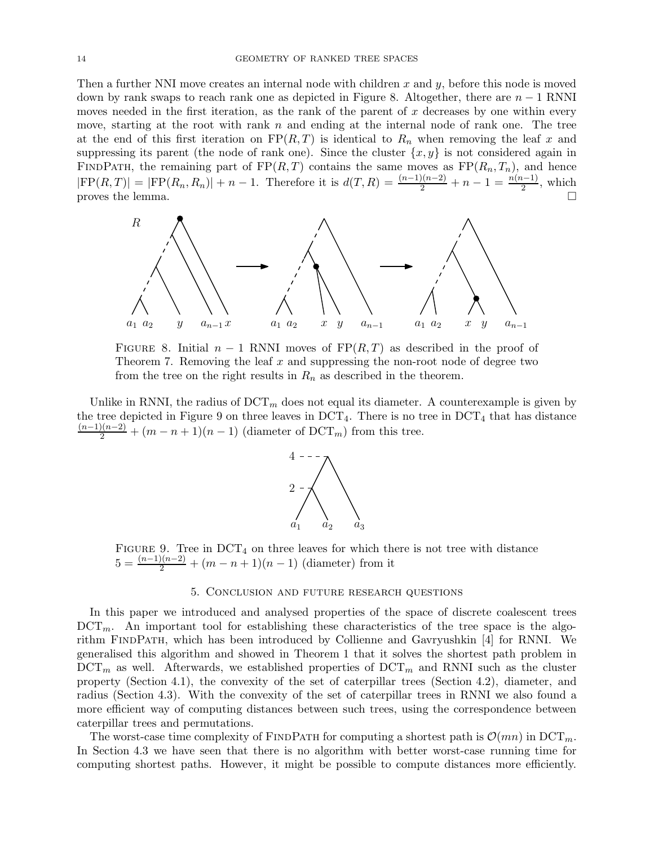Then a further NNI move creates an internal node with children x and  $y$ , before this node is moved down by rank swaps to reach rank one as depicted in Figure [8.](#page-13-1) Altogether, there are  $n-1$  RNNI moves needed in the first iteration, as the rank of the parent of  $x$  decreases by one within every move, starting at the root with rank  $n$  and ending at the internal node of rank one. The tree at the end of this first iteration on  $FP(R, T)$  is identical to  $R_n$  when removing the leaf x and suppressing its parent (the node of rank one). Since the cluster  $\{x, y\}$  is not considered again in FINDPATH, the remaining part of  $FP(R, T)$  contains the same moves as  $FP(R_n, T_n)$ , and hence  $|FP(R, T)| = |FP(R_n, R_n)| + n - 1$ . Therefore it is  $d(T, R) = \frac{(n-1)(n-2)}{2} + n - 1 = \frac{n(n-1)}{2}$ , which proves the lemma.  $\square$ 

<span id="page-13-1"></span>

FIGURE 8. Initial  $n-1$  RNNI moves of  $\text{FP}(R, T)$  as described in the proof of [Theorem 7.](#page-12-1) Removing the leaf  $x$  and suppressing the non-root node of degree two from the tree on the right results in  $R_n$  as described in the theorem.

<span id="page-13-2"></span>Unlike in RNNI, the radius of  $\mathrm{DCT}_m$  does not equal its diameter. A counterexample is given by the tree depicted in [Figure 9](#page-13-2) on three leaves in  $DCT_4$ . There is no tree in  $DCT_4$  that has distance  $\frac{(n-1)(n-2)}{2} + (m-n+1)(n-1)$  (diameter of DCT<sub>m</sub>) from this tree.



FIGURE 9. Tree in  $DCT_4$  on three leaves for which there is not tree with distance  $5 = \frac{(n-1)(n-2)}{2} + (m-n+1)(n-1)$  (diameter) from it

# 5. Conclusion and future research questions

<span id="page-13-0"></span>In this paper we introduced and analysed properties of the space of discrete coalescent trees  $DCT_m$ . An important tool for establishing these characteristics of the tree space is the algorithm FindPath, which has been introduced by Collienne and Gavryushkin [\[4](#page-14-2)] for RNNI. We generalised this algorithm and showed in [Theorem 1](#page-5-0) that it solves the shortest path problem in  $DCT_m$  as well. Afterwards, we established properties of  $DCT_m$  and RNNI such as the cluster property [\(Section 4.1\)](#page-6-1), the convexity of the set of caterpillar trees [\(Section 4.2\)](#page-7-0), diameter, and radius [\(Section 4.3\)](#page-11-0). With the convexity of the set of caterpillar trees in RNNI we also found a more efficient way of computing distances between such trees, using the correspondence between caterpillar trees and permutations.

The worst-case time complexity of FINDPATH for computing a shortest path is  $\mathcal{O}(mn)$  in DCT<sub>m</sub>. In [Section 4.3](#page-11-0) we have seen that there is no algorithm with better worst-case running time for computing shortest paths. However, it might be possible to compute distances more efficiently.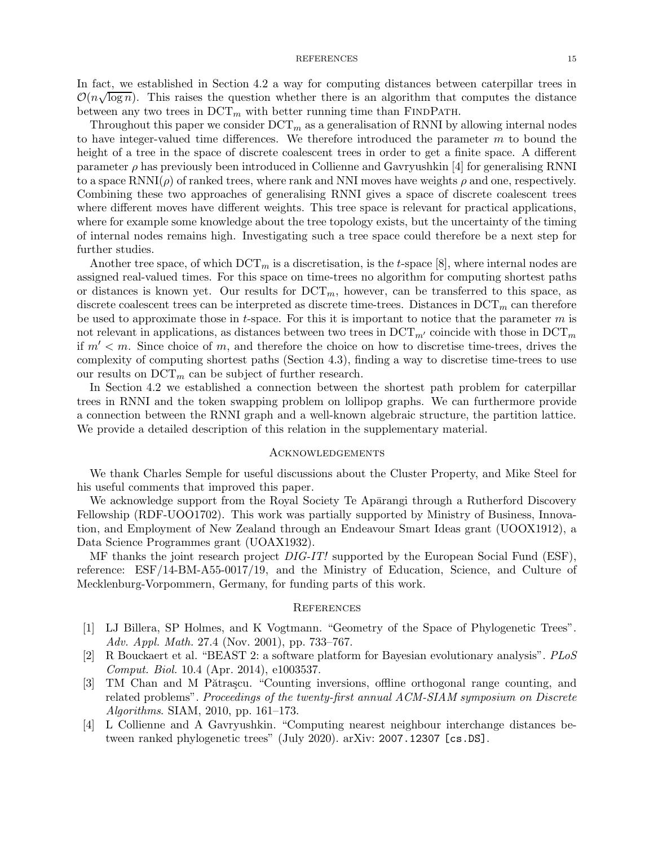### REFERENCES 15

In fact, we established in [Section 4.2](#page-7-0) a way for computing distances between caterpillar trees in  $O(n\sqrt{\log n})$ . This raises the question whether there is an algorithm that computes the distance between any two trees in  $DCT_m$  with better running time than FINDPATH.

Throughout this paper we consider  $DCT_m$  as a generalisation of RNNI by allowing internal nodes to have integer-valued time differences. We therefore introduced the parameter  $m$  to bound the height of a tree in the space of discrete coalescent trees in order to get a finite space. A different parameter  $\rho$  has previously been introduced in Collienne and Gavryushkin [\[4](#page-14-2)] for generalising RNNI to a space  $\text{RNNI}(\rho)$  of ranked trees, where rank and NNI moves have weights  $\rho$  and one, respectively. Combining these two approaches of generalising RNNI gives a space of discrete coalescent trees where different moves have different weights. This tree space is relevant for practical applications, where for example some knowledge about the tree topology exists, but the uncertainty of the timing of internal nodes remains high. Investigating such a tree space could therefore be a next step for further studies.

Another tree space, of which  $DCT_m$  is a discretisation, is the t-space [\[8](#page-15-14)], where internal nodes are assigned real-valued times. For this space on time-trees no algorithm for computing shortest paths or distances is known yet. Our results for  $DCT_m$ , however, can be transferred to this space, as discrete coalescent trees can be interpreted as discrete time-trees. Distances in  $DCT_m$  can therefore be used to approximate those in t-space. For this it is important to notice that the parameter  $m$  is not relevant in applications, as distances between two trees in  $DCT_{m'}$  coincide with those in  $DCT_m$ if  $m' < m$ . Since choice of m, and therefore the choice on how to discretise time-trees, drives the complexity of computing shortest paths [\(Section 4.3\)](#page-11-0), finding a way to discretise time-trees to use our results on  $DCT_m$  can be subject of further research.

In [Section 4.2](#page-7-0) we established a connection between the shortest path problem for caterpillar trees in RNNI and the token swapping problem on lollipop graphs. We can furthermore provide a connection between the RNNI graph and a well-known algebraic structure, the partition lattice. We provide a detailed description of this relation in the supplementary material.

## **ACKNOWLEDGEMENTS**

We thank Charles Semple for useful discussions about the Cluster Property, and Mike Steel for his useful comments that improved this paper.

We acknowledge support from the Royal Society Te Aparangi through a Rutherford Discovery Fellowship (RDF-UOO1702). This work was partially supported by Ministry of Business, Innovation, and Employment of New Zealand through an Endeavour Smart Ideas grant (UOOX1912), a Data Science Programmes grant (UOAX1932).

MF thanks the joint research project  $DIG-IT!$  supported by the European Social Fund (ESF), reference: ESF/14-BM-A55-0017/19, and the Ministry of Education, Science, and Culture of Mecklenburg-Vorpommern, Germany, for funding parts of this work.

### **REFERENCES**

- <span id="page-14-1"></span>[1] LJ Billera, SP Holmes, and K Vogtmann. "Geometry of the Space of Phylogenetic Trees". Adv. Appl. Math. 27.4 (Nov. 2001), pp. 733–767.
- <span id="page-14-0"></span>[2] R Bouckaert et al. "BEAST 2: a software platform for Bayesian evolutionary analysis". PLoS Comput. Biol. 10.4 (Apr. 2014), e1003537.
- <span id="page-14-3"></span>[3] TM Chan and M Pătrașcu. "Counting inversions, offline orthogonal range counting, and related problems". Proceedings of the twenty-first annual ACM-SIAM symposium on Discrete Algorithms. SIAM, 2010, pp. 161–173.
- <span id="page-14-2"></span>[4] L Collienne and A Gavryushkin. "Computing nearest neighbour interchange distances between ranked phylogenetic trees" (July 2020). arXiv: [2007.12307 \[cs.DS\]](https://arxiv.org/abs/2007.12307).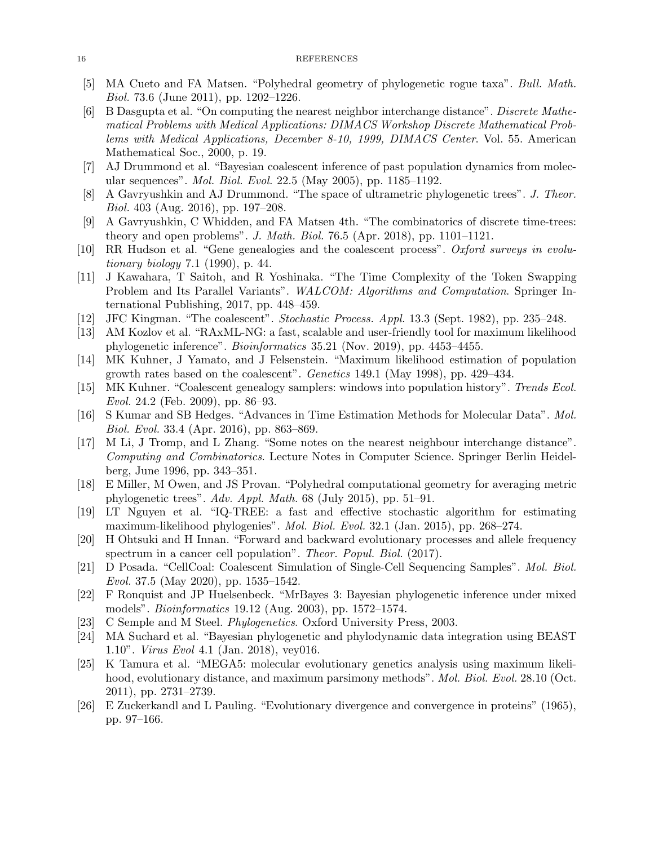### <span id="page-15-15"></span>16 REFERENCES

- <span id="page-15-19"></span>[5] MA Cueto and FA Matsen. "Polyhedral geometry of phylogenetic rogue taxa". Bull. Math. Biol. 73.6 (June 2011), pp. 1202–1226.
- [6] B Dasgupta et al. "On computing the nearest neighbor interchange distance". Discrete Mathematical Problems with Medical Applications: DIMACS Workshop Discrete Mathematical Problems with Medical Applications, December 8-10, 1999, DIMACS Center. Vol. 55. American Mathematical Soc., 2000, p. 19.
- <span id="page-15-14"></span><span id="page-15-5"></span>[7] AJ Drummond et al. "Bayesian coalescent inference of past population dynamics from molecular sequences". Mol. Biol. Evol. 22.5 (May 2005), pp. 1185–1192.
- [8] A Gavryushkin and AJ Drummond. "The space of ultrametric phylogenetic trees". J. Theor. Biol. 403 (Aug. 2016), pp. 197–208.
- <span id="page-15-18"></span>[9] A Gavryushkin, C Whidden, and FA Matsen 4th. "The combinatorics of discrete time-trees: theory and open problems". J. Math. Biol. 76.5 (Apr. 2018), pp. 1101–1121.
- <span id="page-15-3"></span>[10] RR Hudson et al. "Gene genealogies and the coalescent process". Oxford surveys in evolutionary biology 7.1 (1990), p. 44.
- <span id="page-15-21"></span>[11] J Kawahara, T Saitoh, and R Yoshinaka. "The Time Complexity of the Token Swapping Problem and Its Parallel Variants". WALCOM: Algorithms and Computation. Springer International Publishing, 2017, pp. 448–459.
- <span id="page-15-9"></span><span id="page-15-2"></span>[12] JFC Kingman. "The coalescent". Stochastic Process. Appl. 13.3 (Sept. 1982), pp. 235–248.
- [13] AM Kozlov et al. "RAxML-NG: a fast, scalable and user-friendly tool for maximum likelihood phylogenetic inference". Bioinformatics 35.21 (Nov. 2019), pp. 4453–4455.
- <span id="page-15-6"></span>[14] MK Kuhner, J Yamato, and J Felsenstein. "Maximum likelihood estimation of population growth rates based on the coalescent". Genetics 149.1 (May 1998), pp. 429–434.
- <span id="page-15-4"></span>[15] MK Kuhner. "Coalescent genealogy samplers: windows into population history". Trends Ecol. Evol. 24.2 (Feb. 2009), pp. 86–93.
- <span id="page-15-1"></span>[16] S Kumar and SB Hedges. "Advances in Time Estimation Methods for Molecular Data". Mol. Biol. Evol. 33.4 (Apr. 2016), pp. 863–869.
- <span id="page-15-20"></span>[17] M Li, J Tromp, and L Zhang. "Some notes on the nearest neighbour interchange distance". Computing and Combinatorics. Lecture Notes in Computer Science. Springer Berlin Heidelberg, June 1996, pp. 343–351.
- <span id="page-15-16"></span>[18] E Miller, M Owen, and JS Provan. "Polyhedral computational geometry for averaging metric phylogenetic trees". Adv. Appl. Math. 68 (July 2015), pp. 51–91.
- <span id="page-15-10"></span>[19] LT Nguyen et al. "IQ-TREE: a fast and effective stochastic algorithm for estimating maximum-likelihood phylogenies". Mol. Biol. Evol. 32.1 (Jan. 2015), pp. 268–274.
- <span id="page-15-7"></span>[20] H Ohtsuki and H Innan. "Forward and backward evolutionary processes and allele frequency spectrum in a cancer cell population". Theor. Popul. Biol. (2017).
- <span id="page-15-8"></span>[21] D Posada. "CellCoal: Coalescent Simulation of Single-Cell Sequencing Samples". Mol. Biol. Evol. 37.5 (May 2020), pp. 1535–1542.
- <span id="page-15-12"></span>[22] F Ronquist and JP Huelsenbeck. "MrBayes 3: Bayesian phylogenetic inference under mixed models". Bioinformatics 19.12 (Aug. 2003), pp. 1572–1574.
- <span id="page-15-17"></span><span id="page-15-13"></span>[23] C Semple and M Steel. Phylogenetics. Oxford University Press, 2003.
- [24] MA Suchard et al. "Bayesian phylogenetic and phylodynamic data integration using BEAST 1.10". Virus Evol 4.1 (Jan. 2018), vey016.
- <span id="page-15-11"></span>[25] K Tamura et al. "MEGA5: molecular evolutionary genetics analysis using maximum likelihood, evolutionary distance, and maximum parsimony methods". *Mol. Biol. Evol.* 28.10 (Oct. 2011), pp. 2731–2739.
- <span id="page-15-0"></span>[26] E Zuckerkandl and L Pauling. "Evolutionary divergence and convergence in proteins" (1965), pp. 97–166.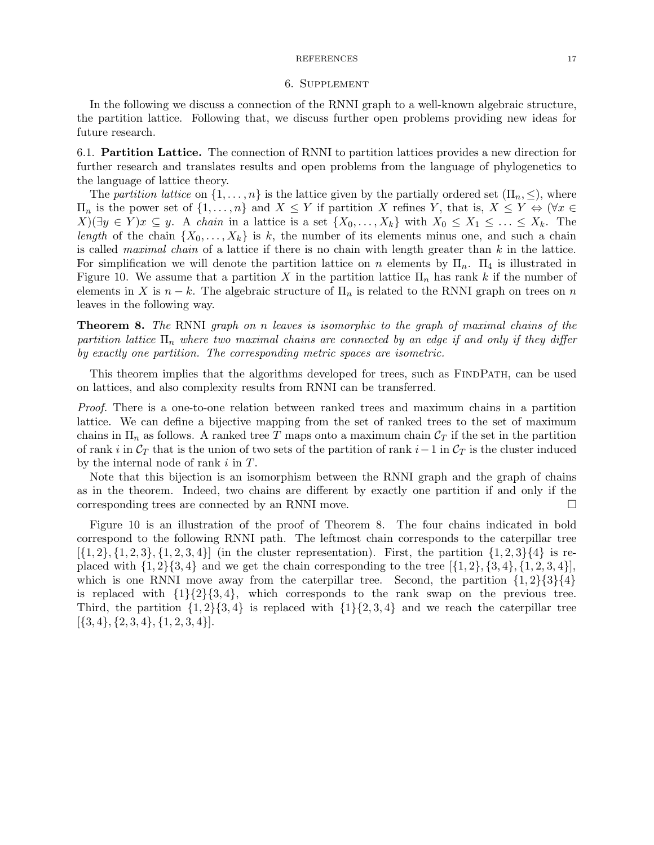#### REFERENCES 17

#### 6. Supplement

In the following we discuss a connection of the RNNI graph to a well-known algebraic structure, the partition lattice. Following that, we discuss further open problems providing new ideas for future research.

6.1. Partition Lattice. The connection of RNNI to partition lattices provides a new direction for further research and translates results and open problems from the language of phylogenetics to the language of lattice theory.

The partition lattice on  $\{1,\ldots,n\}$  is the lattice given by the partially ordered set  $(\Pi_n,\leq)$ , where  $\Pi_n$  is the power set of  $\{1,\ldots,n\}$  and  $X \leq Y$  if partition X refines Y, that is,  $X \leq Y \Leftrightarrow (\forall x \in$  $X(\exists y \in Y)x \subseteq y$ . A chain in a lattice is a set  $\{X_0, \ldots, X_k\}$  with  $X_0 \leq X_1 \leq \ldots \leq X_k$ . The length of the chain  $\{X_0, \ldots, X_k\}$  is k, the number of its elements minus one, and such a chain is called maximal chain of a lattice if there is no chain with length greater than  $k$  in the lattice. For simplification we will denote the partition lattice on n elements by  $\Pi_n$ .  $\Pi_4$  is illustrated in Figure [10.](#page-17-0) We assume that a partition X in the partition lattice  $\Pi_n$  has rank k if the number of elements in X is  $n - k$ . The algebraic structure of  $\Pi_n$  is related to the RNNI graph on trees on n leaves in the following way.

<span id="page-16-0"></span>Theorem 8. The RNNI graph on n leaves is isomorphic to the graph of maximal chains of the partition lattice  $\Pi_n$  where two maximal chains are connected by an edge if and only if they differ by exactly one partition. The corresponding metric spaces are isometric.

This theorem implies that the algorithms developed for trees, such as FINDPATH, can be used on lattices, and also complexity results from RNNI can be transferred.

Proof. There is a one-to-one relation between ranked trees and maximum chains in a partition lattice. We can define a bijective mapping from the set of ranked trees to the set of maximum chains in  $\Pi_n$  as follows. A ranked tree T maps onto a maximum chain  $C_T$  if the set in the partition of rank i in  $\mathcal{C}_T$  that is the union of two sets of the partition of rank i–1 in  $\mathcal{C}_T$  is the cluster induced by the internal node of rank  $i$  in  $T$ .

Note that this bijection is an isomorphism between the RNNI graph and the graph of chains as in the theorem. Indeed, two chains are different by exactly one partition if and only if the corresponding trees are connected by an RNNI move.

Figure [10](#page-17-0) is an illustration of the proof of Theorem [8.](#page-16-0) The four chains indicated in bold correspond to the following RNNI path. The leftmost chain corresponds to the caterpillar tree  $[{1, 2}, {1, 2, 3}, {1, 2, 3, 4}]$  (in the cluster representation). First, the partition  ${1, 2, 3}$ {4} is replaced with  $\{1, 2\}\{3, 4\}$  and we get the chain corresponding to the tree  $[\{1, 2\}, \{3, 4\}, \{1, 2, 3, 4\}]$ , which is one RNNI move away from the caterpillar tree. Second, the partition  $\{1, 2\}\{3\}\{4\}$ is replaced with  $\{1\}\{2\}\{3, 4\}$ , which corresponds to the rank swap on the previous tree. Third, the partition  $\{1, 2\}$  $\{3, 4\}$  is replaced with  $\{1\}$  $\{2, 3, 4\}$  and we reach the caterpillar tree  $[\{3,4\}, \{2,3,4\}, \{1,2,3,4\}].$